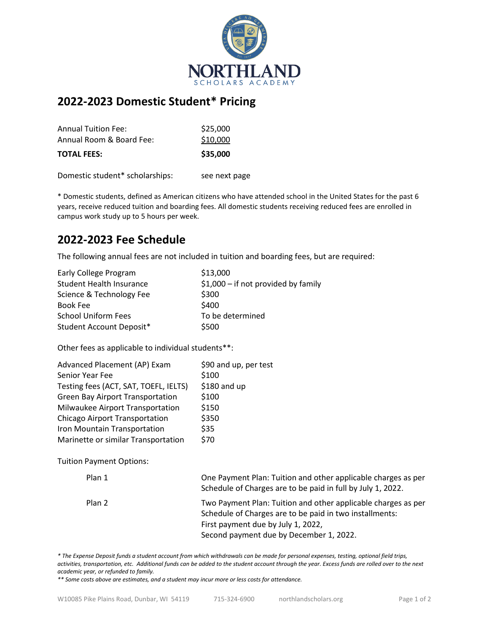

# **2022-2023 Domestic Student\* Pricing**

| <b>TOTAL FEES:</b>       | \$35,000 |
|--------------------------|----------|
| Annual Room & Board Fee: | \$10,000 |
| Annual Tuition Fee:      | \$25,000 |

Domestic student\* scholarships: see next page

\* Domestic students, defined as American citizens who have attended school in the United States for the past 6 years, receive reduced tuition and boarding fees. All domestic students receiving reduced fees are enrolled in campus work study up to 5 hours per week.

### **2022-2023 Fee Schedule**

The following annual fees are not included in tuition and boarding fees, but are required:

| \$13,000                             |
|--------------------------------------|
| $$1,000$ – if not provided by family |
| \$300                                |
| \$400                                |
| To be determined                     |
| \$500                                |
|                                      |

Other fees as applicable to individual students\*\*:

| Advanced Placement (AP) Exam            | \$90 and up, per test |
|-----------------------------------------|-----------------------|
| Senior Year Fee                         | \$100                 |
| Testing fees (ACT, SAT, TOEFL, IELTS)   | \$180 and up          |
| <b>Green Bay Airport Transportation</b> | \$100                 |
| Milwaukee Airport Transportation        | \$150                 |
| Chicago Airport Transportation          | \$350                 |
| Iron Mountain Transportation            | \$35                  |
| Marinette or similar Transportation     | \$70                  |

Tuition Payment Options:

| Plan 1 | One Payment Plan: Tuition and other applicable charges as per<br>Schedule of Charges are to be paid in full by July 1, 2022.                                                                              |
|--------|-----------------------------------------------------------------------------------------------------------------------------------------------------------------------------------------------------------|
| Plan 2 | Two Payment Plan: Tuition and other applicable charges as per<br>Schedule of Charges are to be paid in two installments:<br>First payment due by July 1, 2022,<br>Second payment due by December 1, 2022. |

*\* The Expense Deposit funds a student account from which withdrawals can be made for personal expenses, testing, optional field trips, activities, transportation, etc. Additional funds can be added to the student account through the year. Excess funds are rolled over to the next academic year, or refunded to family.*

*\*\* Some costs above are estimates, and a student may incur more or less costs for attendance.*